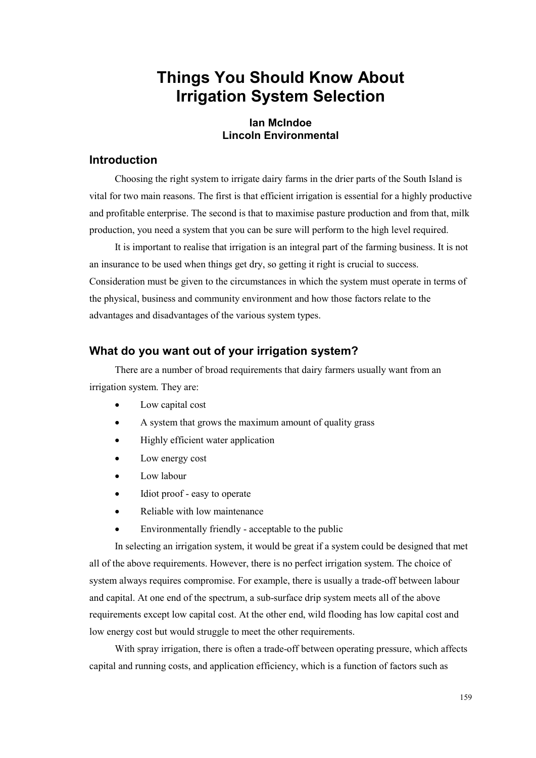# **Things You Should Know About Irrigation System Selection**

## **Ian McIndoe Lincoln Environmental**

## **Introduction**

Choosing the right system to irrigate dairy farms in the drier parts of the South Island is vital for two main reasons. The first is that efficient irrigation is essential for a highly productive and profitable enterprise. The second is that to maximise pasture production and from that, milk production, you need a system that you can be sure will perform to the high level required.

It is important to realise that irrigation is an integral part of the farming business. It is not an insurance to be used when things get dry, so getting it right is crucial to success. Consideration must be given to the circumstances in which the system must operate in terms of the physical, business and community environment and how those factors relate to the advantages and disadvantages of the various system types.

## **What do you want out of your irrigation system?**

There are a number of broad requirements that dairy farmers usually want from an irrigation system. They are:

- Low capital cost
- A system that grows the maximum amount of quality grass
- Highly efficient water application
- Low energy cost
- Low labour
- Idiot proof easy to operate
- Reliable with low maintenance
- Environmentally friendly acceptable to the public

In selecting an irrigation system, it would be great if a system could be designed that met all of the above requirements. However, there is no perfect irrigation system. The choice of system always requires compromise. For example, there is usually a trade-off between labour and capital. At one end of the spectrum, a sub-surface drip system meets all of the above requirements except low capital cost. At the other end, wild flooding has low capital cost and low energy cost but would struggle to meet the other requirements.

With spray irrigation, there is often a trade-off between operating pressure, which affects capital and running costs, and application efficiency, which is a function of factors such as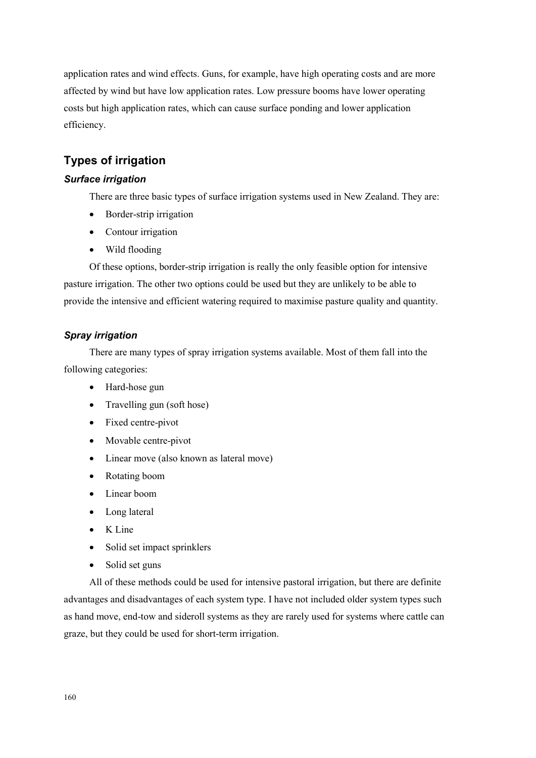application rates and wind effects. Guns, for example, have high operating costs and are more affected by wind but have low application rates. Low pressure booms have lower operating costs but high application rates, which can cause surface ponding and lower application efficiency.

## **Types of irrigation**

## *Surface irrigation*

There are three basic types of surface irrigation systems used in New Zealand. They are:

- Border-strip irrigation
- Contour irrigation
- Wild flooding

Of these options, border-strip irrigation is really the only feasible option for intensive pasture irrigation. The other two options could be used but they are unlikely to be able to provide the intensive and efficient watering required to maximise pasture quality and quantity.

## *Spray irrigation*

There are many types of spray irrigation systems available. Most of them fall into the following categories:

- Hard-hose gun
- Travelling gun (soft hose)
- Fixed centre-pivot
- Movable centre-pivot
- Linear move (also known as lateral move)
- Rotating boom
- Linear boom
- Long lateral
- K Line
- Solid set impact sprinklers
- Solid set guns

All of these methods could be used for intensive pastoral irrigation, but there are definite advantages and disadvantages of each system type. I have not included older system types such as hand move, end-tow and sideroll systems as they are rarely used for systems where cattle can graze, but they could be used for short-term irrigation.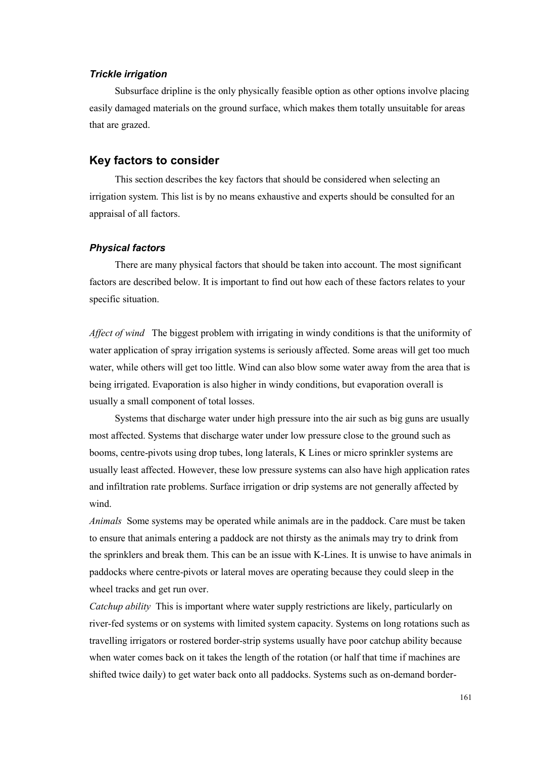## *Trickle irrigation*

Subsurface dripline is the only physically feasible option as other options involve placing easily damaged materials on the ground surface, which makes them totally unsuitable for areas that are grazed.

## **Key factors to consider**

This section describes the key factors that should be considered when selecting an irrigation system. This list is by no means exhaustive and experts should be consulted for an appraisal of all factors.

#### *Physical factors*

There are many physical factors that should be taken into account. The most significant factors are described below. It is important to find out how each of these factors relates to your specific situation.

*Affect of wind* The biggest problem with irrigating in windy conditions is that the uniformity of water application of spray irrigation systems is seriously affected. Some areas will get too much water, while others will get too little. Wind can also blow some water away from the area that is being irrigated. Evaporation is also higher in windy conditions, but evaporation overall is usually a small component of total losses.

Systems that discharge water under high pressure into the air such as big guns are usually most affected. Systems that discharge water under low pressure close to the ground such as booms, centre-pivots using drop tubes, long laterals, K Lines or micro sprinkler systems are usually least affected. However, these low pressure systems can also have high application rates and infiltration rate problems. Surface irrigation or drip systems are not generally affected by wind.

*Animals* Some systems may be operated while animals are in the paddock. Care must be taken to ensure that animals entering a paddock are not thirsty as the animals may try to drink from the sprinklers and break them. This can be an issue with K-Lines. It is unwise to have animals in paddocks where centre-pivots or lateral moves are operating because they could sleep in the wheel tracks and get run over.

*Catchup ability* This is important where water supply restrictions are likely, particularly on river-fed systems or on systems with limited system capacity. Systems on long rotations such as travelling irrigators or rostered border-strip systems usually have poor catchup ability because when water comes back on it takes the length of the rotation (or half that time if machines are shifted twice daily) to get water back onto all paddocks. Systems such as on-demand border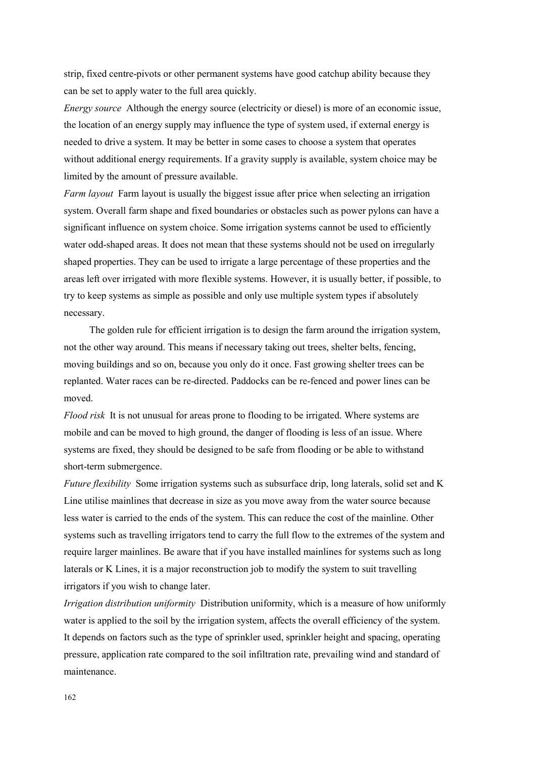strip, fixed centre-pivots or other permanent systems have good catchup ability because they can be set to apply water to the full area quickly.

*Energy source* Although the energy source (electricity or diesel) is more of an economic issue, the location of an energy supply may influence the type of system used, if external energy is needed to drive a system. It may be better in some cases to choose a system that operates without additional energy requirements. If a gravity supply is available, system choice may be limited by the amount of pressure available.

*Farm layout* Farm layout is usually the biggest issue after price when selecting an irrigation system. Overall farm shape and fixed boundaries or obstacles such as power pylons can have a significant influence on system choice. Some irrigation systems cannot be used to efficiently water odd-shaped areas. It does not mean that these systems should not be used on irregularly shaped properties. They can be used to irrigate a large percentage of these properties and the areas left over irrigated with more flexible systems. However, it is usually better, if possible, to try to keep systems as simple as possible and only use multiple system types if absolutely necessary.

The golden rule for efficient irrigation is to design the farm around the irrigation system, not the other way around. This means if necessary taking out trees, shelter belts, fencing, moving buildings and so on, because you only do it once. Fast growing shelter trees can be replanted. Water races can be re-directed. Paddocks can be re-fenced and power lines can be moved.

*Flood risk* It is not unusual for areas prone to flooding to be irrigated. Where systems are mobile and can be moved to high ground, the danger of flooding is less of an issue. Where systems are fixed, they should be designed to be safe from flooding or be able to withstand short-term submergence.

*Future flexibility* Some irrigation systems such as subsurface drip, long laterals, solid set and K Line utilise mainlines that decrease in size as you move away from the water source because less water is carried to the ends of the system. This can reduce the cost of the mainline. Other systems such as travelling irrigators tend to carry the full flow to the extremes of the system and require larger mainlines. Be aware that if you have installed mainlines for systems such as long laterals or K Lines, it is a major reconstruction job to modify the system to suit travelling irrigators if you wish to change later.

*Irrigation distribution uniformity* Distribution uniformity, which is a measure of how uniformly water is applied to the soil by the irrigation system, affects the overall efficiency of the system. It depends on factors such as the type of sprinkler used, sprinkler height and spacing, operating pressure, application rate compared to the soil infiltration rate, prevailing wind and standard of maintenance.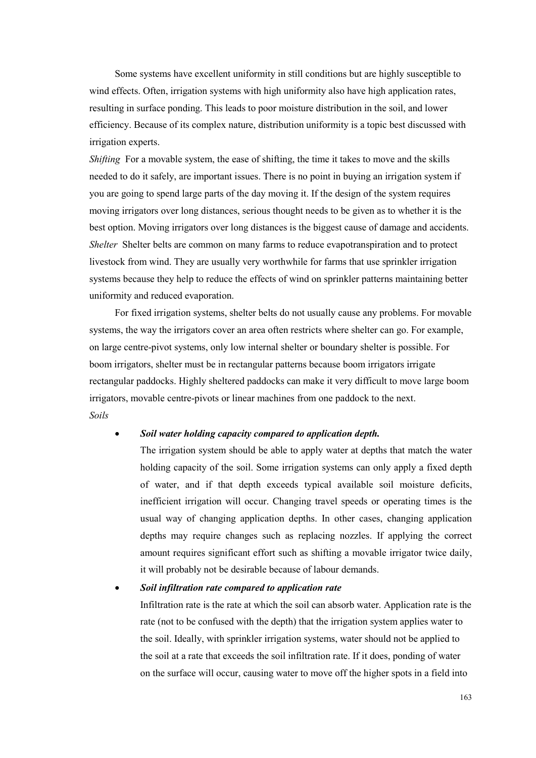Some systems have excellent uniformity in still conditions but are highly susceptible to wind effects. Often, irrigation systems with high uniformity also have high application rates, resulting in surface ponding. This leads to poor moisture distribution in the soil, and lower efficiency. Because of its complex nature, distribution uniformity is a topic best discussed with irrigation experts.

*Shifting* For a movable system, the ease of shifting, the time it takes to move and the skills needed to do it safely, are important issues. There is no point in buying an irrigation system if you are going to spend large parts of the day moving it. If the design of the system requires moving irrigators over long distances, serious thought needs to be given as to whether it is the best option. Moving irrigators over long distances is the biggest cause of damage and accidents. *Shelter* Shelter belts are common on many farms to reduce evapotranspiration and to protect livestock from wind. They are usually very worthwhile for farms that use sprinkler irrigation systems because they help to reduce the effects of wind on sprinkler patterns maintaining better uniformity and reduced evaporation.

For fixed irrigation systems, shelter belts do not usually cause any problems. For movable systems, the way the irrigators cover an area often restricts where shelter can go. For example, on large centre-pivot systems, only low internal shelter or boundary shelter is possible. For boom irrigators, shelter must be in rectangular patterns because boom irrigators irrigate rectangular paddocks. Highly sheltered paddocks can make it very difficult to move large boom irrigators, movable centre-pivots or linear machines from one paddock to the next. *Soils* 

## • *Soil water holding capacity compared to application depth.*

The irrigation system should be able to apply water at depths that match the water holding capacity of the soil. Some irrigation systems can only apply a fixed depth of water, and if that depth exceeds typical available soil moisture deficits, inefficient irrigation will occur. Changing travel speeds or operating times is the usual way of changing application depths. In other cases, changing application depths may require changes such as replacing nozzles. If applying the correct amount requires significant effort such as shifting a movable irrigator twice daily, it will probably not be desirable because of labour demands.

#### • *Soil infiltration rate compared to application rate*

Infiltration rate is the rate at which the soil can absorb water. Application rate is the rate (not to be confused with the depth) that the irrigation system applies water to the soil. Ideally, with sprinkler irrigation systems, water should not be applied to the soil at a rate that exceeds the soil infiltration rate. If it does, ponding of water on the surface will occur, causing water to move off the higher spots in a field into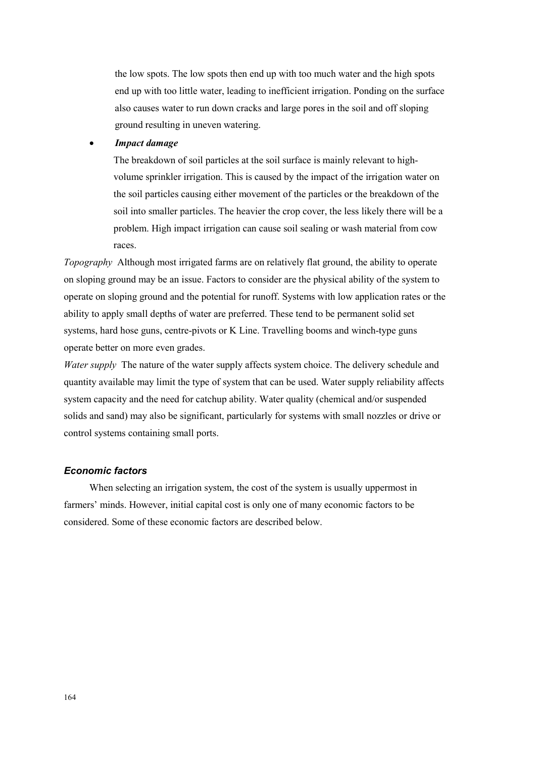the low spots. The low spots then end up with too much water and the high spots end up with too little water, leading to inefficient irrigation. Ponding on the surface also causes water to run down cracks and large pores in the soil and off sloping ground resulting in uneven watering.

### • *Impact damage*

The breakdown of soil particles at the soil surface is mainly relevant to highvolume sprinkler irrigation. This is caused by the impact of the irrigation water on the soil particles causing either movement of the particles or the breakdown of the soil into smaller particles. The heavier the crop cover, the less likely there will be a problem. High impact irrigation can cause soil sealing or wash material from cow races.

*Topography* Although most irrigated farms are on relatively flat ground, the ability to operate on sloping ground may be an issue. Factors to consider are the physical ability of the system to operate on sloping ground and the potential for runoff. Systems with low application rates or the ability to apply small depths of water are preferred. These tend to be permanent solid set systems, hard hose guns, centre-pivots or K Line. Travelling booms and winch-type guns operate better on more even grades.

*Water supply* The nature of the water supply affects system choice. The delivery schedule and quantity available may limit the type of system that can be used. Water supply reliability affects system capacity and the need for catchup ability. Water quality (chemical and/or suspended solids and sand) may also be significant, particularly for systems with small nozzles or drive or control systems containing small ports.

### *Economic factors*

When selecting an irrigation system, the cost of the system is usually uppermost in farmers' minds. However, initial capital cost is only one of many economic factors to be considered. Some of these economic factors are described below.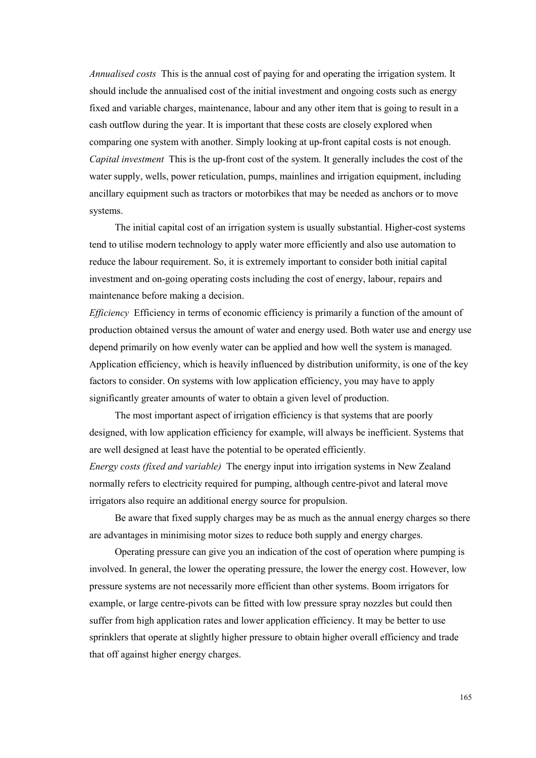*Annualised costs* This is the annual cost of paying for and operating the irrigation system. It should include the annualised cost of the initial investment and ongoing costs such as energy fixed and variable charges, maintenance, labour and any other item that is going to result in a cash outflow during the year. It is important that these costs are closely explored when comparing one system with another. Simply looking at up-front capital costs is not enough. *Capital investment* This is the up-front cost of the system. It generally includes the cost of the water supply, wells, power reticulation, pumps, mainlines and irrigation equipment, including ancillary equipment such as tractors or motorbikes that may be needed as anchors or to move systems.

The initial capital cost of an irrigation system is usually substantial. Higher-cost systems tend to utilise modern technology to apply water more efficiently and also use automation to reduce the labour requirement. So, it is extremely important to consider both initial capital investment and on-going operating costs including the cost of energy, labour, repairs and maintenance before making a decision.

*Efficiency* Efficiency in terms of economic efficiency is primarily a function of the amount of production obtained versus the amount of water and energy used. Both water use and energy use depend primarily on how evenly water can be applied and how well the system is managed. Application efficiency, which is heavily influenced by distribution uniformity, is one of the key factors to consider. On systems with low application efficiency, you may have to apply significantly greater amounts of water to obtain a given level of production.

The most important aspect of irrigation efficiency is that systems that are poorly designed, with low application efficiency for example, will always be inefficient. Systems that are well designed at least have the potential to be operated efficiently.

*Energy costs (fixed and variable)* The energy input into irrigation systems in New Zealand normally refers to electricity required for pumping, although centre-pivot and lateral move irrigators also require an additional energy source for propulsion.

Be aware that fixed supply charges may be as much as the annual energy charges so there are advantages in minimising motor sizes to reduce both supply and energy charges.

Operating pressure can give you an indication of the cost of operation where pumping is involved. In general, the lower the operating pressure, the lower the energy cost. However, low pressure systems are not necessarily more efficient than other systems. Boom irrigators for example, or large centre-pivots can be fitted with low pressure spray nozzles but could then suffer from high application rates and lower application efficiency. It may be better to use sprinklers that operate at slightly higher pressure to obtain higher overall efficiency and trade that off against higher energy charges.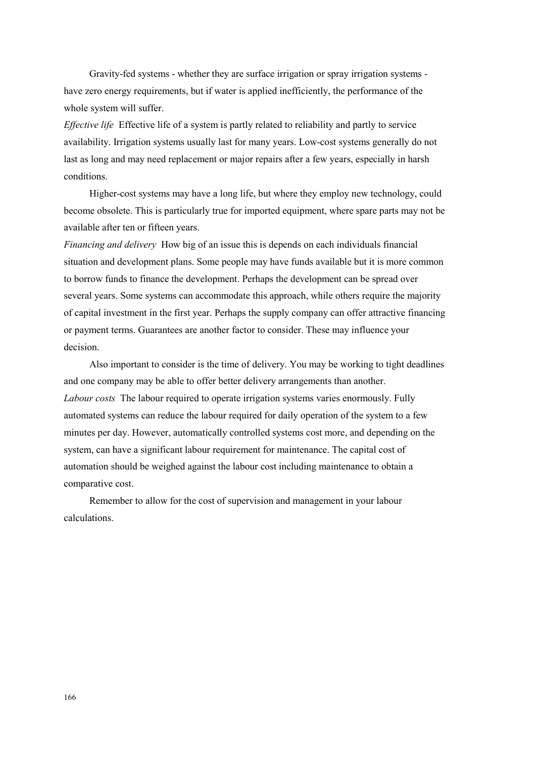Gravity-fed systems - whether they are surface irrigation or spray irrigation systems have zero energy requirements, but if water is applied inefficiently, the performance of the whole system will suffer.

*Effective life* Effective life of a system is partly related to reliability and partly to service availability. Irrigation systems usually last for many years. Low-cost systems generally do not last as long and may need replacement or major repairs after a few years, especially in harsh conditions.

Higher-cost systems may have a long life, but where they employ new technology, could become obsolete. This is particularly true for imported equipment, where spare parts may not be available after ten or fifteen years.

*Financing and delivery* How big of an issue this is depends on each individuals financial situation and development plans. Some people may have funds available but it is more common to borrow funds to finance the development. Perhaps the development can be spread over several years. Some systems can accommodate this approach, while others require the majority of capital investment in the first year. Perhaps the supply company can offer attractive financing or payment terms. Guarantees are another factor to consider. These may influence your decision.

Also important to consider is the time of delivery. You may be working to tight deadlines and one company may be able to offer better delivery arrangements than another. *Labour costs* The labour required to operate irrigation systems varies enormously. Fully automated systems can reduce the labour required for daily operation of the system to a few minutes per day. However, automatically controlled systems cost more, and depending on the system, can have a significant labour requirement for maintenance. The capital cost of automation should be weighed against the labour cost including maintenance to obtain a comparative cost.

Remember to allow for the cost of supervision and management in your labour calculations.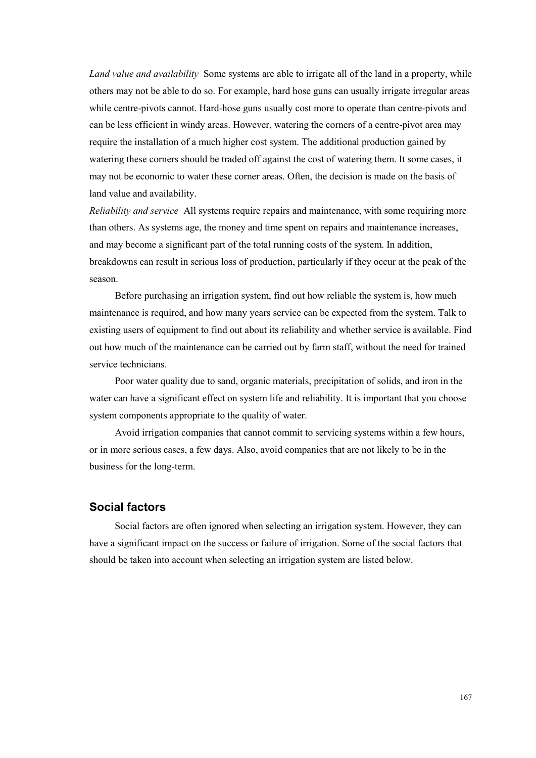*Land value and availability* Some systems are able to irrigate all of the land in a property, while others may not be able to do so. For example, hard hose guns can usually irrigate irregular areas while centre-pivots cannot. Hard-hose guns usually cost more to operate than centre-pivots and can be less efficient in windy areas. However, watering the corners of a centre-pivot area may require the installation of a much higher cost system. The additional production gained by watering these corners should be traded off against the cost of watering them. It some cases, it may not be economic to water these corner areas. Often, the decision is made on the basis of land value and availability.

*Reliability and service* All systems require repairs and maintenance, with some requiring more than others. As systems age, the money and time spent on repairs and maintenance increases, and may become a significant part of the total running costs of the system. In addition, breakdowns can result in serious loss of production, particularly if they occur at the peak of the season.

Before purchasing an irrigation system, find out how reliable the system is, how much maintenance is required, and how many years service can be expected from the system. Talk to existing users of equipment to find out about its reliability and whether service is available. Find out how much of the maintenance can be carried out by farm staff, without the need for trained service technicians.

Poor water quality due to sand, organic materials, precipitation of solids, and iron in the water can have a significant effect on system life and reliability. It is important that you choose system components appropriate to the quality of water.

Avoid irrigation companies that cannot commit to servicing systems within a few hours, or in more serious cases, a few days. Also, avoid companies that are not likely to be in the business for the long-term.

## **Social factors**

Social factors are often ignored when selecting an irrigation system. However, they can have a significant impact on the success or failure of irrigation. Some of the social factors that should be taken into account when selecting an irrigation system are listed below.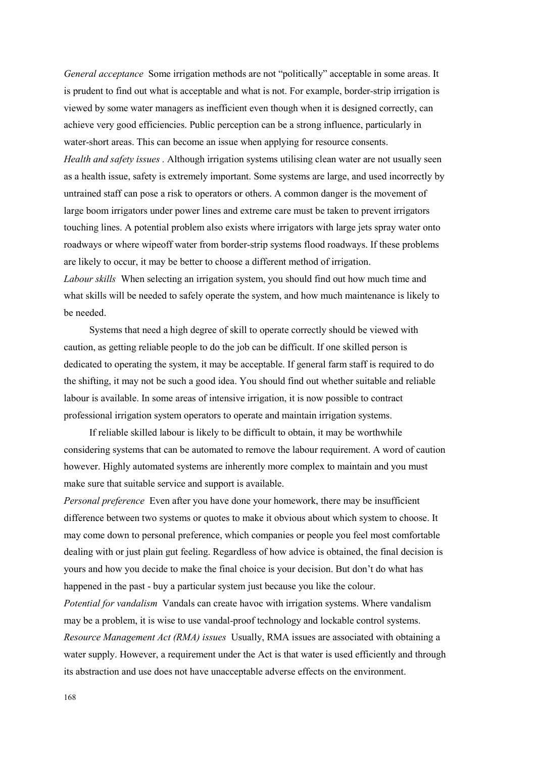*General acceptance* Some irrigation methods are not "politically" acceptable in some areas. It is prudent to find out what is acceptable and what is not. For example, border-strip irrigation is viewed by some water managers as inefficient even though when it is designed correctly, can achieve very good efficiencies. Public perception can be a strong influence, particularly in water-short areas. This can become an issue when applying for resource consents. *Health and safety issues .* Although irrigation systems utilising clean water are not usually seen as a health issue, safety is extremely important. Some systems are large, and used incorrectly by untrained staff can pose a risk to operators or others. A common danger is the movement of large boom irrigators under power lines and extreme care must be taken to prevent irrigators touching lines. A potential problem also exists where irrigators with large jets spray water onto roadways or where wipeoff water from border-strip systems flood roadways. If these problems are likely to occur, it may be better to choose a different method of irrigation. *Labour skills* When selecting an irrigation system, you should find out how much time and what skills will be needed to safely operate the system, and how much maintenance is likely to be needed.

Systems that need a high degree of skill to operate correctly should be viewed with caution, as getting reliable people to do the job can be difficult. If one skilled person is dedicated to operating the system, it may be acceptable. If general farm staff is required to do the shifting, it may not be such a good idea. You should find out whether suitable and reliable labour is available. In some areas of intensive irrigation, it is now possible to contract professional irrigation system operators to operate and maintain irrigation systems.

If reliable skilled labour is likely to be difficult to obtain, it may be worthwhile considering systems that can be automated to remove the labour requirement. A word of caution however. Highly automated systems are inherently more complex to maintain and you must make sure that suitable service and support is available.

*Personal preference* Even after you have done your homework, there may be insufficient difference between two systems or quotes to make it obvious about which system to choose. It may come down to personal preference, which companies or people you feel most comfortable dealing with or just plain gut feeling. Regardless of how advice is obtained, the final decision is yours and how you decide to make the final choice is your decision. But don't do what has happened in the past - buy a particular system just because you like the colour.

*Potential for vandalism* Vandals can create havoc with irrigation systems. Where vandalism may be a problem, it is wise to use vandal-proof technology and lockable control systems. *Resource Management Act (RMA) issues* Usually, RMA issues are associated with obtaining a water supply. However, a requirement under the Act is that water is used efficiently and through its abstraction and use does not have unacceptable adverse effects on the environment.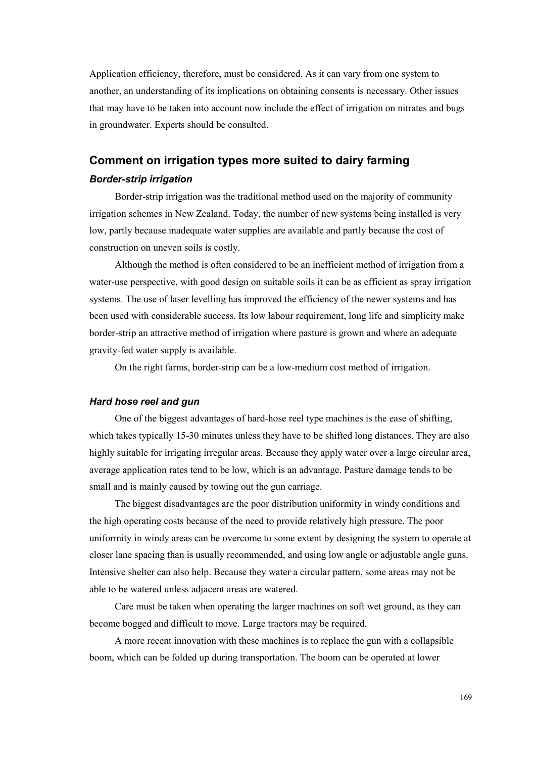Application efficiency, therefore, must be considered. As it can vary from one system to another, an understanding of its implications on obtaining consents is necessary. Other issues that may have to be taken into account now include the effect of irrigation on nitrates and bugs in groundwater. Experts should be consulted.

## **Comment on irrigation types more suited to dairy farming**  *Border-strip irrigation*

Border-strip irrigation was the traditional method used on the majority of community irrigation schemes in New Zealand. Today, the number of new systems being installed is very low, partly because inadequate water supplies are available and partly because the cost of construction on uneven soils is costly.

Although the method is often considered to be an inefficient method of irrigation from a water-use perspective, with good design on suitable soils it can be as efficient as spray irrigation systems. The use of laser levelling has improved the efficiency of the newer systems and has been used with considerable success. Its low labour requirement, long life and simplicity make border-strip an attractive method of irrigation where pasture is grown and where an adequate gravity-fed water supply is available.

On the right farms, border-strip can be a low-medium cost method of irrigation.

## *Hard hose reel and gun*

One of the biggest advantages of hard-hose reel type machines is the ease of shifting, which takes typically 15-30 minutes unless they have to be shifted long distances. They are also highly suitable for irrigating irregular areas. Because they apply water over a large circular area, average application rates tend to be low, which is an advantage. Pasture damage tends to be small and is mainly caused by towing out the gun carriage.

The biggest disadvantages are the poor distribution uniformity in windy conditions and the high operating costs because of the need to provide relatively high pressure. The poor uniformity in windy areas can be overcome to some extent by designing the system to operate at closer lane spacing than is usually recommended, and using low angle or adjustable angle guns. Intensive shelter can also help. Because they water a circular pattern, some areas may not be able to be watered unless adjacent areas are watered.

Care must be taken when operating the larger machines on soft wet ground, as they can become bogged and difficult to move. Large tractors may be required.

A more recent innovation with these machines is to replace the gun with a collapsible boom, which can be folded up during transportation. The boom can be operated at lower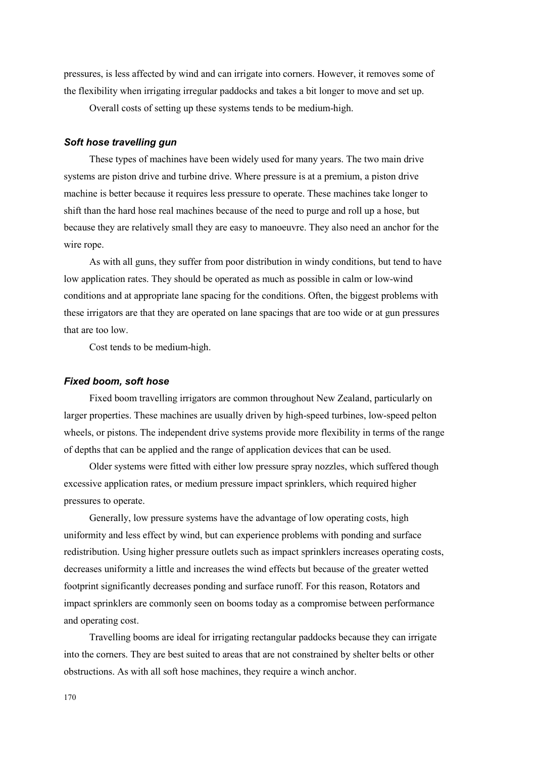pressures, is less affected by wind and can irrigate into corners. However, it removes some of the flexibility when irrigating irregular paddocks and takes a bit longer to move and set up.

Overall costs of setting up these systems tends to be medium-high.

## *Soft hose travelling gun*

These types of machines have been widely used for many years. The two main drive systems are piston drive and turbine drive. Where pressure is at a premium, a piston drive machine is better because it requires less pressure to operate. These machines take longer to shift than the hard hose real machines because of the need to purge and roll up a hose, but because they are relatively small they are easy to manoeuvre. They also need an anchor for the wire rope.

As with all guns, they suffer from poor distribution in windy conditions, but tend to have low application rates. They should be operated as much as possible in calm or low-wind conditions and at appropriate lane spacing for the conditions. Often, the biggest problems with these irrigators are that they are operated on lane spacings that are too wide or at gun pressures that are too low.

Cost tends to be medium-high.

### *Fixed boom, soft hose*

Fixed boom travelling irrigators are common throughout New Zealand, particularly on larger properties. These machines are usually driven by high-speed turbines, low-speed pelton wheels, or pistons. The independent drive systems provide more flexibility in terms of the range of depths that can be applied and the range of application devices that can be used.

Older systems were fitted with either low pressure spray nozzles, which suffered though excessive application rates, or medium pressure impact sprinklers, which required higher pressures to operate.

Generally, low pressure systems have the advantage of low operating costs, high uniformity and less effect by wind, but can experience problems with ponding and surface redistribution. Using higher pressure outlets such as impact sprinklers increases operating costs, decreases uniformity a little and increases the wind effects but because of the greater wetted footprint significantly decreases ponding and surface runoff. For this reason, Rotators and impact sprinklers are commonly seen on booms today as a compromise between performance and operating cost.

Travelling booms are ideal for irrigating rectangular paddocks because they can irrigate into the corners. They are best suited to areas that are not constrained by shelter belts or other obstructions. As with all soft hose machines, they require a winch anchor.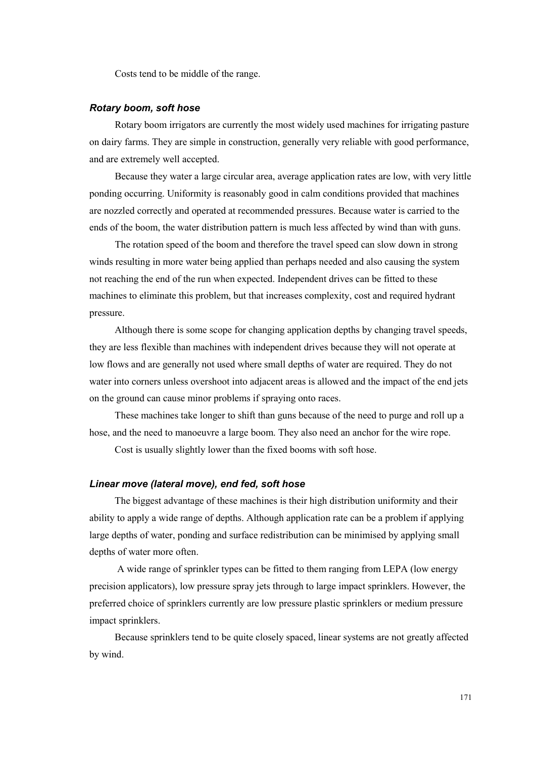Costs tend to be middle of the range.

#### *Rotary boom, soft hose*

Rotary boom irrigators are currently the most widely used machines for irrigating pasture on dairy farms. They are simple in construction, generally very reliable with good performance, and are extremely well accepted.

Because they water a large circular area, average application rates are low, with very little ponding occurring. Uniformity is reasonably good in calm conditions provided that machines are nozzled correctly and operated at recommended pressures. Because water is carried to the ends of the boom, the water distribution pattern is much less affected by wind than with guns.

The rotation speed of the boom and therefore the travel speed can slow down in strong winds resulting in more water being applied than perhaps needed and also causing the system not reaching the end of the run when expected. Independent drives can be fitted to these machines to eliminate this problem, but that increases complexity, cost and required hydrant pressure.

Although there is some scope for changing application depths by changing travel speeds, they are less flexible than machines with independent drives because they will not operate at low flows and are generally not used where small depths of water are required. They do not water into corners unless overshoot into adjacent areas is allowed and the impact of the end jets on the ground can cause minor problems if spraying onto races.

These machines take longer to shift than guns because of the need to purge and roll up a hose, and the need to manoeuvre a large boom. They also need an anchor for the wire rope.

Cost is usually slightly lower than the fixed booms with soft hose.

## *Linear move (lateral move), end fed, soft hose*

The biggest advantage of these machines is their high distribution uniformity and their ability to apply a wide range of depths. Although application rate can be a problem if applying large depths of water, ponding and surface redistribution can be minimised by applying small depths of water more often.

 A wide range of sprinkler types can be fitted to them ranging from LEPA (low energy precision applicators), low pressure spray jets through to large impact sprinklers. However, the preferred choice of sprinklers currently are low pressure plastic sprinklers or medium pressure impact sprinklers.

Because sprinklers tend to be quite closely spaced, linear systems are not greatly affected by wind.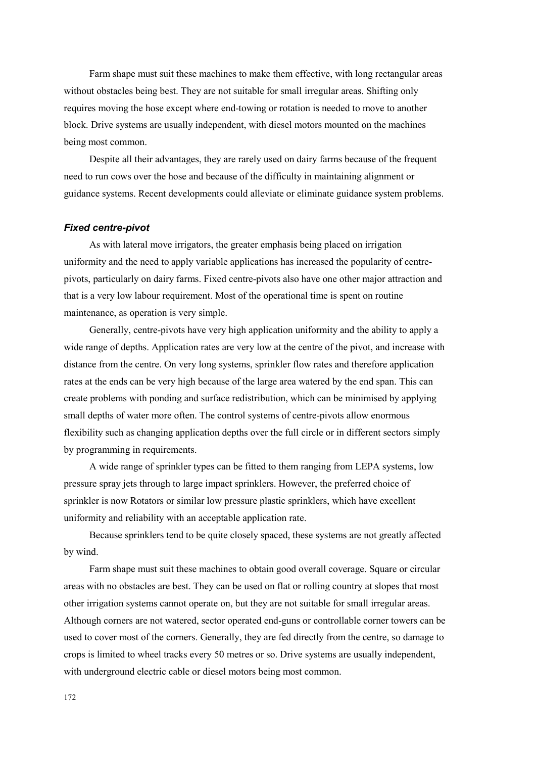Farm shape must suit these machines to make them effective, with long rectangular areas without obstacles being best. They are not suitable for small irregular areas. Shifting only requires moving the hose except where end-towing or rotation is needed to move to another block. Drive systems are usually independent, with diesel motors mounted on the machines being most common.

Despite all their advantages, they are rarely used on dairy farms because of the frequent need to run cows over the hose and because of the difficulty in maintaining alignment or guidance systems. Recent developments could alleviate or eliminate guidance system problems.

#### *Fixed centre-pivot*

As with lateral move irrigators, the greater emphasis being placed on irrigation uniformity and the need to apply variable applications has increased the popularity of centrepivots, particularly on dairy farms. Fixed centre-pivots also have one other major attraction and that is a very low labour requirement. Most of the operational time is spent on routine maintenance, as operation is very simple.

Generally, centre-pivots have very high application uniformity and the ability to apply a wide range of depths. Application rates are very low at the centre of the pivot, and increase with distance from the centre. On very long systems, sprinkler flow rates and therefore application rates at the ends can be very high because of the large area watered by the end span. This can create problems with ponding and surface redistribution, which can be minimised by applying small depths of water more often. The control systems of centre-pivots allow enormous flexibility such as changing application depths over the full circle or in different sectors simply by programming in requirements.

A wide range of sprinkler types can be fitted to them ranging from LEPA systems, low pressure spray jets through to large impact sprinklers. However, the preferred choice of sprinkler is now Rotators or similar low pressure plastic sprinklers, which have excellent uniformity and reliability with an acceptable application rate.

Because sprinklers tend to be quite closely spaced, these systems are not greatly affected by wind.

Farm shape must suit these machines to obtain good overall coverage. Square or circular areas with no obstacles are best. They can be used on flat or rolling country at slopes that most other irrigation systems cannot operate on, but they are not suitable for small irregular areas. Although corners are not watered, sector operated end-guns or controllable corner towers can be used to cover most of the corners. Generally, they are fed directly from the centre, so damage to crops is limited to wheel tracks every 50 metres or so. Drive systems are usually independent, with underground electric cable or diesel motors being most common.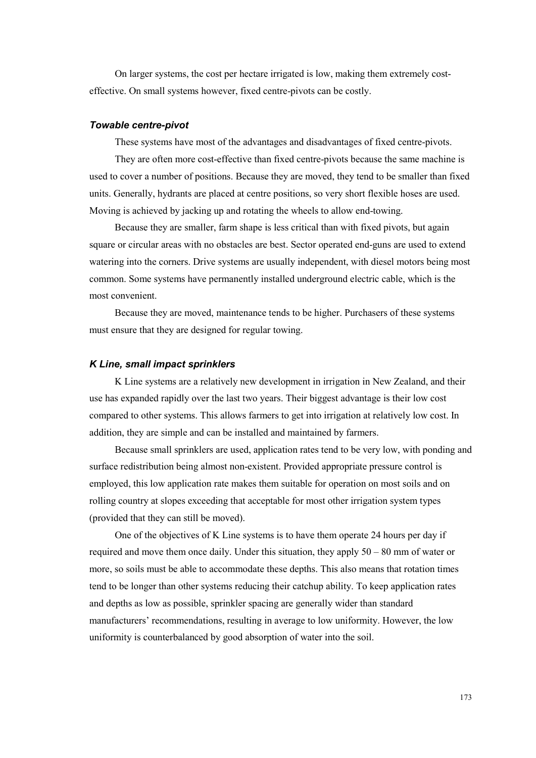On larger systems, the cost per hectare irrigated is low, making them extremely costeffective. On small systems however, fixed centre-pivots can be costly.

## *Towable centre-pivot*

These systems have most of the advantages and disadvantages of fixed centre-pivots.

They are often more cost-effective than fixed centre-pivots because the same machine is used to cover a number of positions. Because they are moved, they tend to be smaller than fixed units. Generally, hydrants are placed at centre positions, so very short flexible hoses are used. Moving is achieved by jacking up and rotating the wheels to allow end-towing.

Because they are smaller, farm shape is less critical than with fixed pivots, but again square or circular areas with no obstacles are best. Sector operated end-guns are used to extend watering into the corners. Drive systems are usually independent, with diesel motors being most common. Some systems have permanently installed underground electric cable, which is the most convenient.

Because they are moved, maintenance tends to be higher. Purchasers of these systems must ensure that they are designed for regular towing.

### *K Line, small impact sprinklers*

K Line systems are a relatively new development in irrigation in New Zealand, and their use has expanded rapidly over the last two years. Their biggest advantage is their low cost compared to other systems. This allows farmers to get into irrigation at relatively low cost. In addition, they are simple and can be installed and maintained by farmers.

Because small sprinklers are used, application rates tend to be very low, with ponding and surface redistribution being almost non-existent. Provided appropriate pressure control is employed, this low application rate makes them suitable for operation on most soils and on rolling country at slopes exceeding that acceptable for most other irrigation system types (provided that they can still be moved).

One of the objectives of K Line systems is to have them operate 24 hours per day if required and move them once daily. Under this situation, they apply 50 – 80 mm of water or more, so soils must be able to accommodate these depths. This also means that rotation times tend to be longer than other systems reducing their catchup ability. To keep application rates and depths as low as possible, sprinkler spacing are generally wider than standard manufacturers' recommendations, resulting in average to low uniformity. However, the low uniformity is counterbalanced by good absorption of water into the soil.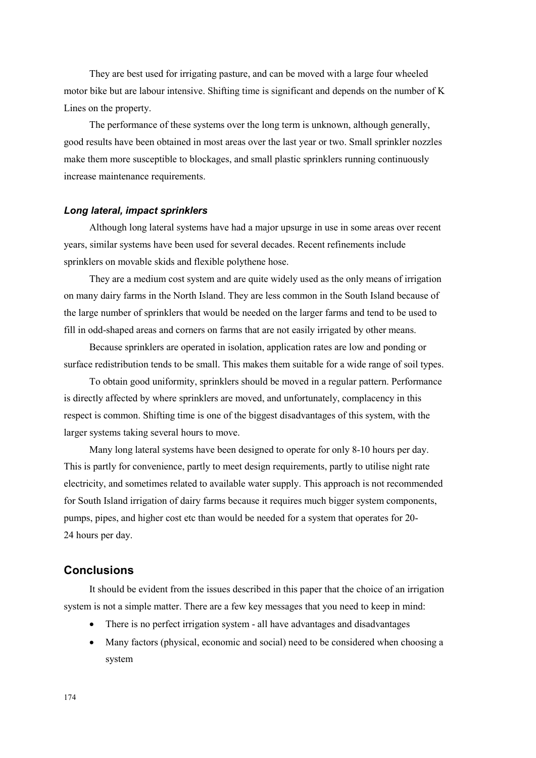They are best used for irrigating pasture, and can be moved with a large four wheeled motor bike but are labour intensive. Shifting time is significant and depends on the number of K Lines on the property.

The performance of these systems over the long term is unknown, although generally, good results have been obtained in most areas over the last year or two. Small sprinkler nozzles make them more susceptible to blockages, and small plastic sprinklers running continuously increase maintenance requirements.

### *Long lateral, impact sprinklers*

Although long lateral systems have had a major upsurge in use in some areas over recent years, similar systems have been used for several decades. Recent refinements include sprinklers on movable skids and flexible polythene hose.

They are a medium cost system and are quite widely used as the only means of irrigation on many dairy farms in the North Island. They are less common in the South Island because of the large number of sprinklers that would be needed on the larger farms and tend to be used to fill in odd-shaped areas and corners on farms that are not easily irrigated by other means.

Because sprinklers are operated in isolation, application rates are low and ponding or surface redistribution tends to be small. This makes them suitable for a wide range of soil types.

To obtain good uniformity, sprinklers should be moved in a regular pattern. Performance is directly affected by where sprinklers are moved, and unfortunately, complacency in this respect is common. Shifting time is one of the biggest disadvantages of this system, with the larger systems taking several hours to move.

Many long lateral systems have been designed to operate for only 8-10 hours per day. This is partly for convenience, partly to meet design requirements, partly to utilise night rate electricity, and sometimes related to available water supply. This approach is not recommended for South Island irrigation of dairy farms because it requires much bigger system components, pumps, pipes, and higher cost etc than would be needed for a system that operates for 20- 24 hours per day.

## **Conclusions**

It should be evident from the issues described in this paper that the choice of an irrigation system is not a simple matter. There are a few key messages that you need to keep in mind:

- There is no perfect irrigation system all have advantages and disadvantages
- Many factors (physical, economic and social) need to be considered when choosing a system